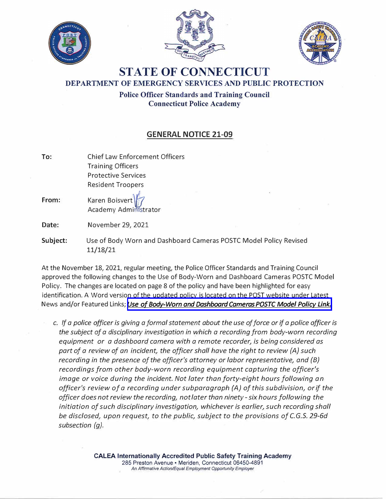





## **STATE OF CONNECTICUT DEPARTMENT OF EMERGENCY SERVICES AND PUBLIC PROTECTION**

**Police Officer Standards· and Training Council Connecticut Police Academy** 

## **GENERAL NOTICE 21-09**

**To:**  Chief Law Enforcement Officers Training Officers Protective Services Resident Troopers From: **Karen Boisvert** Academy Administrator **Date: Subject:**  November 29, 2021 Use of Body Worn and Dashboard Cameras POSTC Model Policy Revised

**11/18/21**  At the November 18, 2021, regular meeting, the Police Officer Standards and Training Council

approved the following changes to the Use of Body-Worn and Dashboard Cameras POSTC Model Policy. The changes are located on page 8 of the policy and have been highlighted for easy identification. A Word version of the updated policy is located on the POST website under Latest News and/or Featured Links; *[Use of Body-Worn and Dashboard Cameras POSTC Model Policy Link.](https://portal.ct.gov/-/media/POST/GENERAL_NOTICES/2021/GN-21-09/POSTC-BWC-Policy-Final-Revised-113021.docx)*

*c. If a police officer is giving a formal statement about the use of force or if a police officer is the subject of a disciplinary investigation in which a recording from body-worn recording equipment or a dashboard camera with a remote recorder, is being considered as part of a review of an incident, the officer shall have the right to review (A) such recording in the presence of the officer's attorney or labor representative, and {8} recordings from other body-worn recording equipment capturing the officer's image or voice during the incident. Not later than forty-eight hours following an officer's review of a recording under subparagraph (A) of this subdivision, orif the officer does not review the recording, not later than ninety - six hours following the initiation of such disciplinary investigation, whichever is earlier, such recording shall be disclosed, upon request, to the public, subject to the provisions of C.G.S. 29-6d subsection (g).*